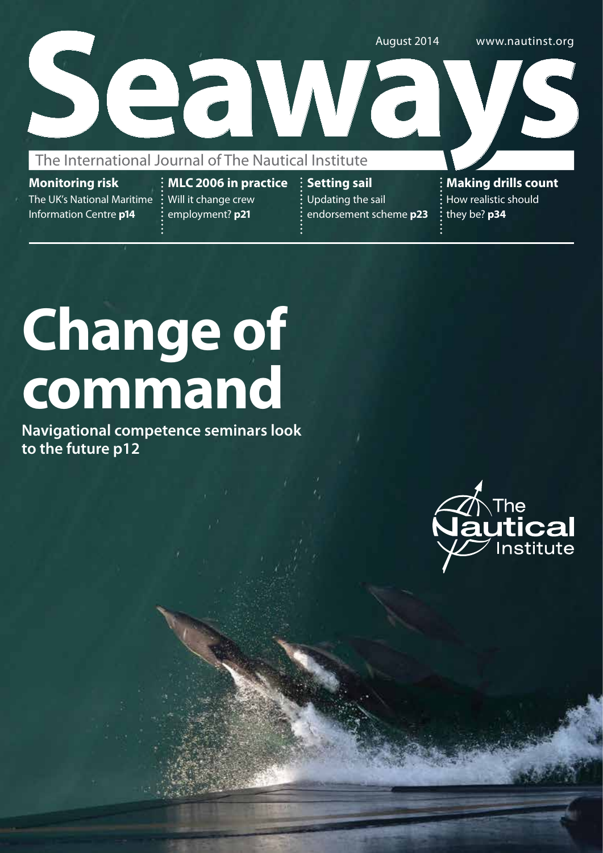

**Monitoring risk** The UK's National Maritime Information Centre **p14**

**MLC 2006 in practice** Will it change crew employment? **p21**

**Setting sail**  Updating the sail endorsement scheme **p23** **Making drills count**  How realistic should they be? **p34**

# **Change of command**

**Navigational competence seminars look to the future p12** 

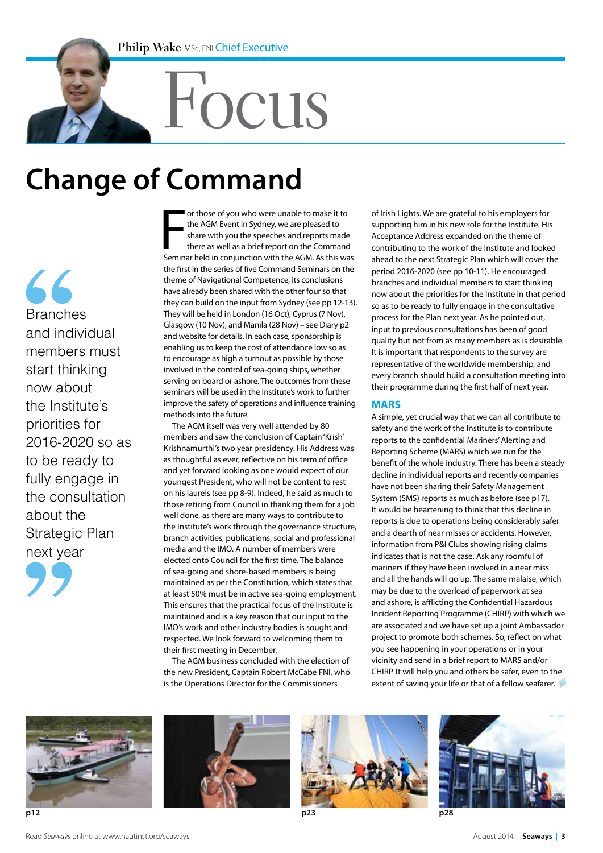# Focus

## **Change of Command**

66 Branches and individual members must start thinking now about the Institute's priorities for 2016-2020 so as to be ready to fully engage in the consultation about the Strategic Plan next year



or those of you who were unable to make it to<br>the AGM Event in Sydney, we are pleased to<br>share with you the speeches and reports made<br>there as well as a brief report on the Command<br>Seminar held in conjunction with the AGM. or those of you who were unable to make it to the AGM Event in Sydney, we are pleased to share with you the speeches and reports made there as well as a brief report on the Command the first in the series of five Command Seminars on the theme of Navigational Competence, its conclusions have already been shared with the other four so that they can build on the input from Sydney (see pp 12-13). They will be held in London (16 Oct), Cyprus (7 Nov), Glasgow (10 Nov), and Manila (28 Nov) – see Diary p2 and website for details. In each case, sponsorship is enabling us to keep the cost of attendance low so as to encourage as high a turnout as possible by those involved in the control of sea-going ships, whether serving on board or ashore. The outcomes from these seminars will be used in the Institute's work to further improve the safety of operations and influence training methods into the future.

The AGM itself was very well attended by 80 members and saw the conclusion of Captain 'Krish' Krishnamurthi's two year presidency. His Address was as thoughtful as ever, reflective on his term of office and yet forward looking as one would expect of our youngest President, who will not be content to rest on his laurels (see pp 8-9). Indeed, he said as much to those retiring from Council in thanking them for a job well done, as there are many ways to contribute to the Institute's work through the governance structure, branch activities, publications, social and professional media and the IMO. A number of members were elected onto Council for the first time. The balance of sea-going and shore-based members is being maintained as per the Constitution, which states that at least 50% must be in active sea-going employment. This ensures that the practical focus of the Institute is maintained and is a key reason that our input to the IMO's work and other industry bodies is sought and respected. We look forward to welcoming them to their first meeting in December.

The AGM business concluded with the election of the new President, Captain Robert McCabe FNI, who is the Operations Director for the Commissioners

of Irish Lights. We are grateful to his employers for supporting him in his new role for the Institute. His Acceptance Address expanded on the theme of contributing to the work of the Institute and looked ahead to the next Strategic Plan which will cover the period 2016-2020 (see pp 10-11). He encouraged branches and individual members to start thinking now about the priorities for the Institute in that period so as to be ready to fully engage in the consultative process for the Plan next year. As he pointed out, input to previous consultations has been of good quality but not from as many members as is desirable. It is important that respondents to the survey are representative of the worldwide membership, and every branch should build a consultation meeting into their programme during the first half of next year.

#### **MARS**

A simple, yet crucial way that we can all contribute to safety and the work of the Institute is to contribute reports to the confidential Mariners' Alerting and Reporting Scheme (MARS) which we run for the benefit of the whole industry. There has been a steady decline in individual reports and recently companies have not been sharing their Safety Management System (SMS) reports as much as before (see p17). It would be heartening to think that this decline in reports is due to operations being considerably safer and a dearth of near misses or accidents. However, information from P&I Clubs showing rising claims indicates that is not the case. Ask any roomful of mariners if they have been involved in a near miss and all the hands will go up. The same malaise, which may be due to the overload of paperwork at sea and ashore, is afflicting the Confidential Hazardous Incident Reporting Programme (CHIRP) with which we are associated and we have set up a joint Ambassador project to promote both schemes. So, reflect on what you see happening in your operations or in your vicinity and send in a brief report to MARS and/or CHIRP. It will help you and others be safer, even to the extent of saving your life or that of a fellow seafarer.







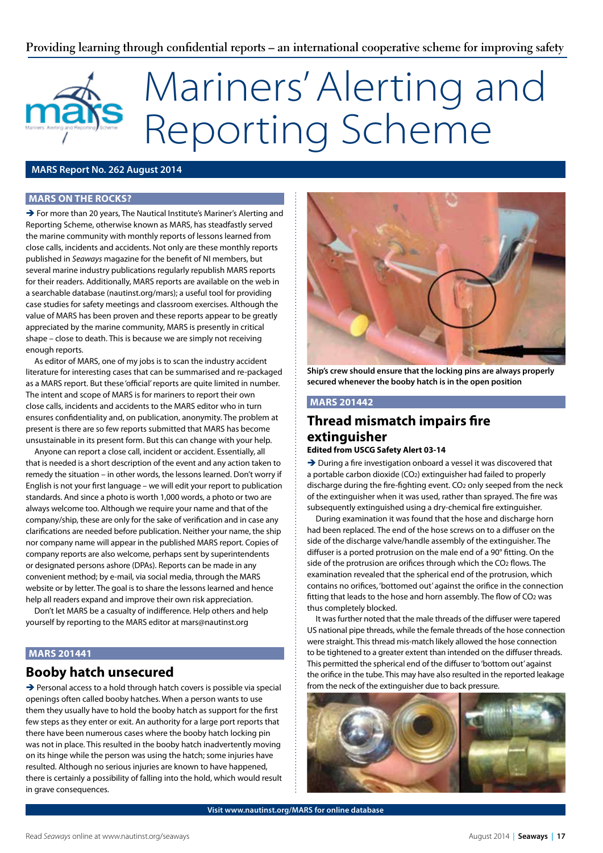#### **Providing learning through confidential reports – an international cooperative scheme for improving safety**

# Mariners' Alerting and Reporting Scheme

#### **MARS Report No. 262 August 2014**

#### **MARS on the rocks?**

→ For more than 20 years, The Nautical Institute's Mariner's Alerting and Reporting Scheme, otherwise known as MARS, has steadfastly served the marine community with monthly reports of lessons learned from close calls, incidents and accidents. Not only are these monthly reports published in *Seaways* magazine for the benefit of NI members, but several marine industry publications regularly republish MARS reports for their readers. Additionally, MARS reports are available on the web in a searchable database (nautinst.org/mars); a useful tool for providing case studies for safety meetings and classroom exercises. Although the value of MARS has been proven and these reports appear to be greatly appreciated by the marine community, MARS is presently in critical shape – close to death. This is because we are simply not receiving enough reports.

As editor of MARS, one of my jobs is to scan the industry accident literature for interesting cases that can be summarised and re-packaged as a MARS report. But these 'official' reports are quite limited in number. The intent and scope of MARS is for mariners to report their own close calls, incidents and accidents to the MARS editor who in turn ensures confidentiality and, on publication, anonymity. The problem at present is there are so few reports submitted that MARS has become unsustainable in its present form. But this can change with your help.

Anyone can report a close call, incident or accident. Essentially, all that is needed is a short description of the event and any action taken to remedy the situation – in other words, the lessons learned. Don't worry if English is not your first language – we will edit your report to publication standards. And since a photo is worth 1,000 words, a photo or two are always welcome too. Although we require your name and that of the company/ship, these are only for the sake of verification and in case any clarifications are needed before publication. Neither your name, the ship nor company name will appear in the published MARS report. Copies of company reports are also welcome, perhaps sent by superintendents or designated persons ashore (DPAs). Reports can be made in any convenient method; by e-mail, via social media, through the MARS website or by letter. The goal is to share the lessons learned and hence help all readers expand and improve their own risk appreciation.

Don't let MARS be a casualty of indifference. Help others and help yourself by reporting to the MARS editor at mars@nautinst.org

#### **MARS 201441**

#### **Booby hatch unsecured**

→ Personal access to a hold through hatch covers is possible via special openings often called booby hatches. When a person wants to use them they usually have to hold the booby hatch as support for the first few steps as they enter or exit. An authority for a large port reports that there have been numerous cases where the booby hatch locking pin was not in place. This resulted in the booby hatch inadvertently moving on its hinge while the person was using the hatch; some injuries have resulted. Although no serious injuries are known to have happened, there is certainly a possibility of falling into the hold, which would result in grave consequences.



**Ship's crew should ensure that the locking pins are always properly secured whenever the booby hatch is in the open position**

#### **MARS 201442**

#### **Thread mismatch impairs fire extinguisher**

#### **Edited from USCG Safety Alert 03-14**

 $\rightarrow$  During a fire investigation onboard a vessel it was discovered that a portable carbon dioxide (CO2) extinguisher had failed to properly discharge during the fire-fighting event. CO2 only seeped from the neck of the extinguisher when it was used, rather than sprayed. The fire was subsequently extinguished using a dry-chemical fire extinguisher.

During examination it was found that the hose and discharge horn had been replaced. The end of the hose screws on to a diffuser on the side of the discharge valve/handle assembly of the extinguisher. The diffuser is a ported protrusion on the male end of a 90° fitting. On the side of the protrusion are orifices through which the CO<sub>2</sub> flows. The examination revealed that the spherical end of the protrusion, which contains no orifices, 'bottomed out' against the orifice in the connection fitting that leads to the hose and horn assembly. The flow of CO2 was thus completely blocked.

It was further noted that the male threads of the diffuser were tapered US national pipe threads, while the female threads of the hose connection were straight. This thread mis-match likely allowed the hose connection to be tightened to a greater extent than intended on the diffuser threads. This permitted the spherical end of the diffuser to 'bottom out' against the orifice in the tube. This may have also resulted in the reported leakage from the neck of the extinguisher due to back pressure.



**Visit www.nautinst.org/MARS for online database**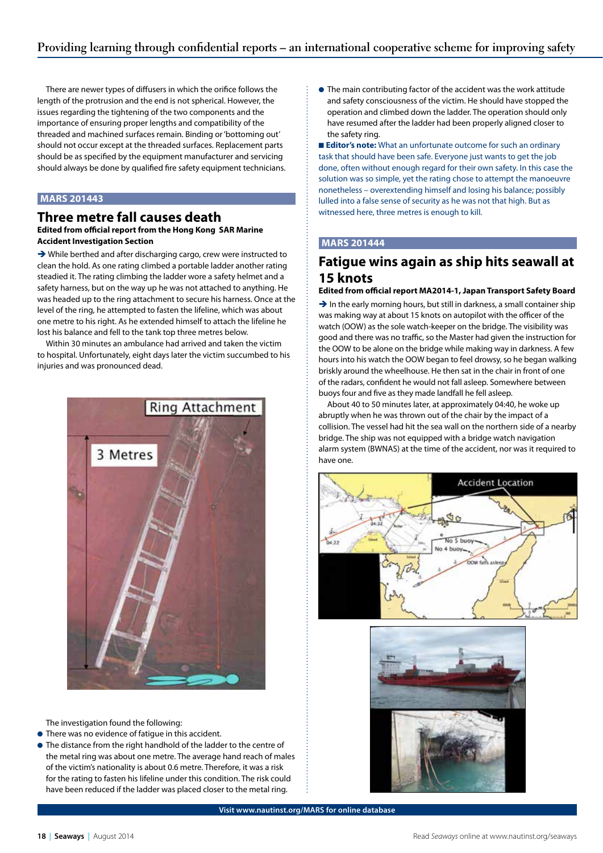There are newer types of diffusers in which the orifice follows the length of the protrusion and the end is not spherical. However, the issues regarding the tightening of the two components and the importance of ensuring proper lengths and compatibility of the threaded and machined surfaces remain. Binding or 'bottoming out' should not occur except at the threaded surfaces. Replacement parts should be as specified by the equipment manufacturer and servicing should always be done by qualified fire safety equipment technicians.

#### **MARS 201443**

#### **Three metre fall causes death**

#### **Edited from official report from the Hong Kong SAR Marine Accident Investigation Section**

→ While berthed and after discharging cargo, crew were instructed to clean the hold. As one rating climbed a portable ladder another rating steadied it. The rating climbing the ladder wore a safety helmet and a safety harness, but on the way up he was not attached to anything. He was headed up to the ring attachment to secure his harness. Once at the level of the ring, he attempted to fasten the lifeline, which was about one metre to his right. As he extended himself to attach the lifeline he lost his balance and fell to the tank top three metres below.

Within 30 minutes an ambulance had arrived and taken the victim to hospital. Unfortunately, eight days later the victim succumbed to his injuries and was pronounced dead.



The investigation found the following:

- **•** There was no evidence of fatigue in this accident.
- The distance from the right handhold of the ladder to the centre of the metal ring was about one metre. The average hand reach of males of the victim's nationality is about 0.6 metre. Therefore, it was a risk for the rating to fasten his lifeline under this condition. The risk could have been reduced if the ladder was placed closer to the metal ring.

**• The main contributing factor of the accident was the work attitude** and safety consciousness of the victim. He should have stopped the operation and climbed down the ladder. The operation should only have resumed after the ladder had been properly aligned closer to the safety ring.

■ **Editor's note:** What an unfortunate outcome for such an ordinary task that should have been safe. Everyone just wants to get the job done, often without enough regard for their own safety. In this case the solution was so simple, yet the rating chose to attempt the manoeuvre nonetheless – overextending himself and losing his balance; possibly lulled into a false sense of security as he was not that high. But as witnessed here, three metres is enough to kill.

#### **MARS 201444**

#### **Fatigue wins again as ship hits seawall at 15 knots**

#### **Edited from official report MA2014-1, Japan Transport Safety Board**

 $\rightarrow$  In the early morning hours, but still in darkness, a small container ship was making way at about 15 knots on autopilot with the officer of the watch (OOW) as the sole watch-keeper on the bridge. The visibility was good and there was no traffic, so the Master had given the instruction for the OOW to be alone on the bridge while making way in darkness. A few hours into his watch the OOW began to feel drowsy, so he began walking briskly around the wheelhouse. He then sat in the chair in front of one of the radars, confident he would not fall asleep. Somewhere between buoys four and five as they made landfall he fell asleep.

About 40 to 50 minutes later, at approximately 04:40, he woke up abruptly when he was thrown out of the chair by the impact of a collision. The vessel had hit the sea wall on the northern side of a nearby bridge. The ship was not equipped with a bridge watch navigation alarm system (BWNAS) at the time of the accident, nor was it required to have one.





**Visit www.nautinst.org/MARS for online database**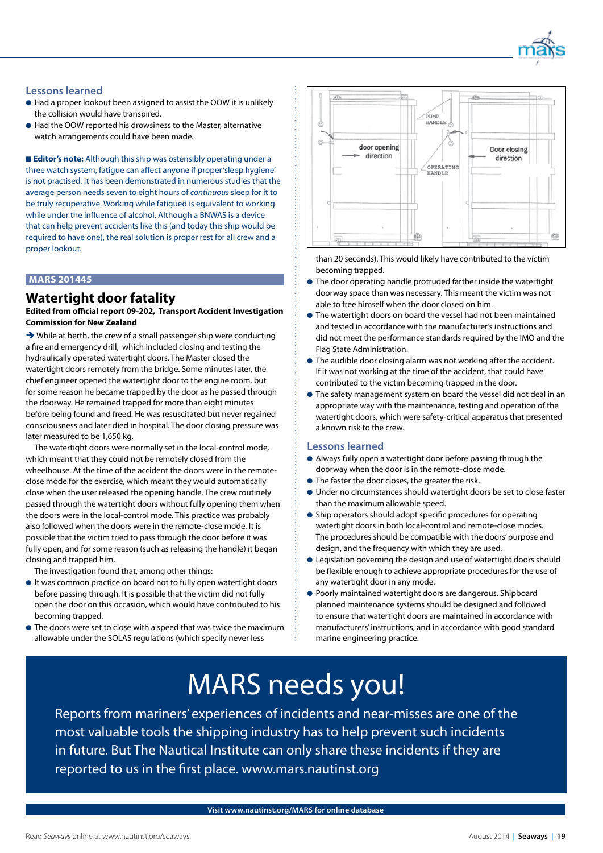

#### **Lessons learned**

- Had a proper lookout been assigned to assist the OOW it is unlikely the collision would have transpired.
- Had the OOW reported his drowsiness to the Master, alternative watch arrangements could have been made.

■ **Editor's note:** Although this ship was ostensibly operating under a three watch system, fatigue can affect anyone if proper 'sleep hygiene' is not practised. It has been demonstrated in numerous studies that the average person needs seven to eight hours of *continuous* sleep for it to be truly recuperative. Working while fatigued is equivalent to working while under the influence of alcohol. Although a BNWAS is a device that can help prevent accidents like this (and today this ship would be required to have one), the real solution is proper rest for all crew and a proper lookout.

#### **MARS 201445**

#### **Watertight door fatality**

**Edited from official report 09-202, Transport Accident Investigation Commission for New Zealand**

 $\rightarrow$  While at berth, the crew of a small passenger ship were conducting a fire and emergency drill, which included closing and testing the hydraulically operated watertight doors. The Master closed the watertight doors remotely from the bridge. Some minutes later, the chief engineer opened the watertight door to the engine room, but for some reason he became trapped by the door as he passed through the doorway. He remained trapped for more than eight minutes before being found and freed. He was resuscitated but never regained consciousness and later died in hospital. The door closing pressure was later measured to be 1,650 kg.

The watertight doors were normally set in the local-control mode, which meant that they could not be remotely closed from the wheelhouse. At the time of the accident the doors were in the remoteclose mode for the exercise, which meant they would automatically close when the user released the opening handle. The crew routinely passed through the watertight doors without fully opening them when the doors were in the local-control mode. This practice was probably also followed when the doors were in the remote-close mode. It is possible that the victim tried to pass through the door before it was fully open, and for some reason (such as releasing the handle) it began closing and trapped him.

The investigation found that, among other things:

- $\bullet$  It was common practice on board not to fully open watertight doors before passing through. It is possible that the victim did not fully open the door on this occasion, which would have contributed to his becoming trapped.
- The doors were set to close with a speed that was twice the maximum allowable under the SOLAS regulations (which specify never less



than 20 seconds). This would likely have contributed to the victim becoming trapped.

- **•** The door operating handle protruded farther inside the watertight doorway space than was necessary. This meant the victim was not able to free himself when the door closed on him.
- l The watertight doors on board the vessel had not been maintained and tested in accordance with the manufacturer's instructions and did not meet the performance standards required by the IMO and the Flag State Administration.
- **The audible door closing alarm was not working after the accident.** If it was not working at the time of the accident, that could have contributed to the victim becoming trapped in the door.
- **•** The safety management system on board the vessel did not deal in an appropriate way with the maintenance, testing and operation of the watertight doors, which were safety-critical apparatus that presented a known risk to the crew.

#### **Lessons learned**

- l Always fully open a watertight door before passing through the doorway when the door is in the remote-close mode.
- **•** The faster the door closes, the greater the risk.
- l Under no circumstances should watertight doors be set to close faster than the maximum allowable speed.
- **•** Ship operators should adopt specific procedures for operating watertight doors in both local-control and remote-close modes. The procedures should be compatible with the doors' purpose and design, and the frequency with which they are used.
- **•** Legislation governing the design and use of watertight doors should be flexible enough to achieve appropriate procedures for the use of any watertight door in any mode.
- **Poorly maintained watertight doors are dangerous. Shipboard** planned maintenance systems should be designed and followed to ensure that watertight doors are maintained in accordance with manufacturers' instructions, and in accordance with good standard marine engineering practice.

### MARS needs you!

Reports from mariners' experiences of incidents and near-misses are one of the most valuable tools the shipping industry has to help prevent such incidents in future. But The Nautical Institute can only share these incidents if they are reported to us in the first place. www.mars.nautinst.org

**Visit www.nautinst.org/MARS for online database**